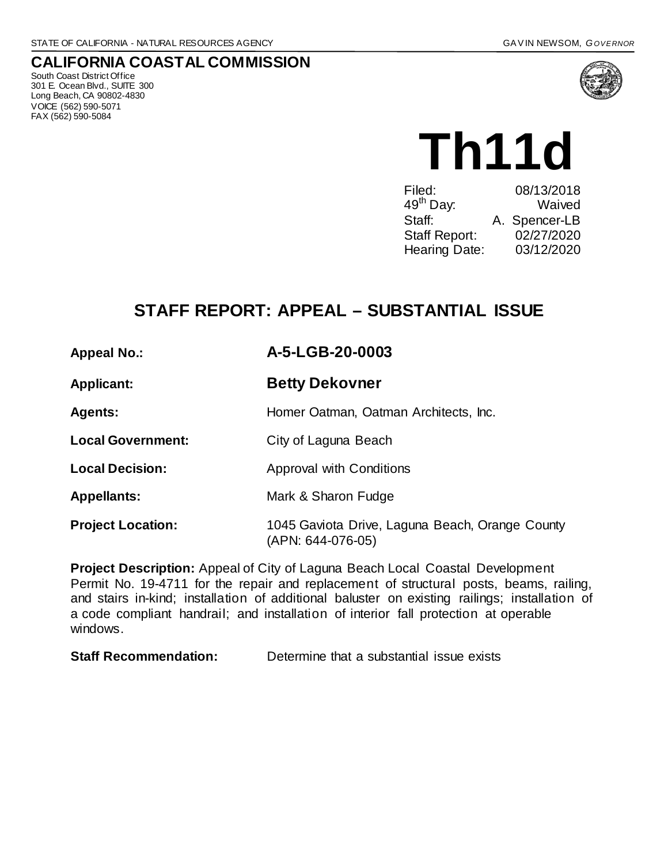## **CALIFORNIA COASTAL COMMISSION**

South Coast District Office 301 E. Ocean Blvd., SUITE 300 Long Beach, CA 90802-4830 VOICE (562) 590-5071 FAX (562) 590-5084



**Th11d**

| Filed:                | 08/13/2018    |
|-----------------------|---------------|
| 49 <sup>th</sup> Day: | Waived        |
| Staff:                | A. Spencer-LB |
| Staff Report:         | 02/27/2020    |
| Hearing Date:         | 03/12/2020    |
|                       |               |

# **STAFF REPORT: APPEAL – SUBSTANTIAL ISSUE**

### **Appeal No.: A-5-LGB-20-0003**

**Applicant: Betty Dekovner**

Agents: **Agents:** Homer Oatman, Oatman Architects, Inc.

**Local Government:** City of Laguna Beach

**Local Decision:** Approval with Conditions

**Appellants:** Mark & Sharon Fudge

**Project Location:** 1045 Gaviota Drive, Laguna Beach, Orange County (APN: 644-076-05)

**Project Description:** Appeal of City of Laguna Beach Local Coastal Development Permit No. 19-4711 for the repair and replacement of structural posts, beams, railing, and stairs in-kind; installation of additional baluster on existing railings; installation of a code compliant handrail; and installation of interior fall protection at operable windows.

**Staff Recommendation:** Determine that a substantial issue exists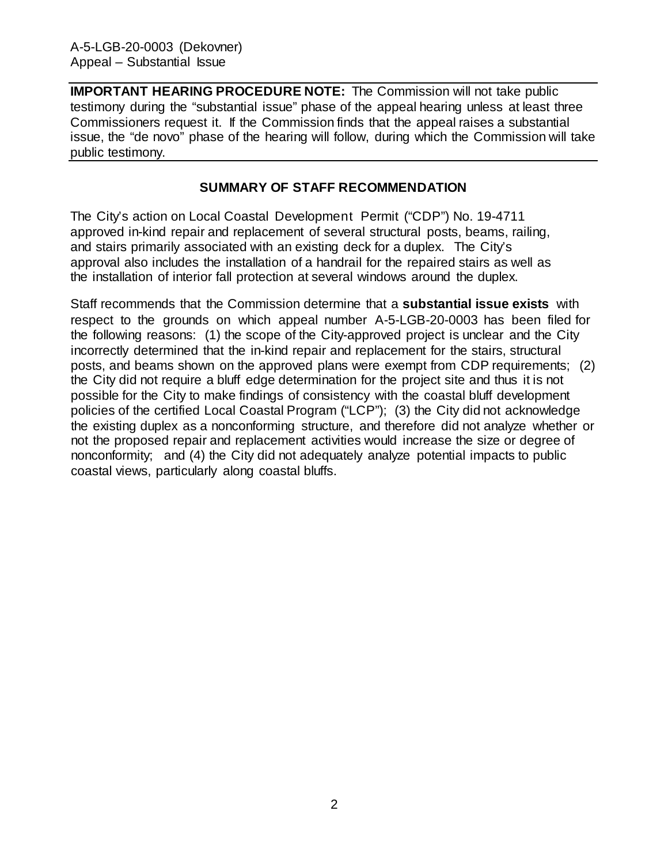**IMPORTANT HEARING PROCEDURE NOTE:** The Commission will not take public testimony during the "substantial issue" phase of the appeal hearing unless at least three Commissioners request it. If the Commission finds that the appeal raises a substantial issue, the "de novo" phase of the hearing will follow, during which the Commission will take public testimony.

#### **SUMMARY OF STAFF RECOMMENDATION**

The City's action on Local Coastal Development Permit ("CDP") No. 19-4711 approved in-kind repair and replacement of several structural posts, beams, railing, and stairs primarily associated with an existing deck for a duplex. The City's approval also includes the installation of a handrail for the repaired stairs as well as the installation of interior fall protection at several windows around the duplex.

Staff recommends that the Commission determine that a **substantial issue exists** with respect to the grounds on which appeal number A-5-LGB-20-0003 has been filed for the following reasons: (1) the scope of the City-approved project is unclear and the City incorrectly determined that the in-kind repair and replacement for the stairs, structural posts, and beams shown on the approved plans were exempt from CDP requirements; (2) the City did not require a bluff edge determination for the project site and thus it is not possible for the City to make findings of consistency with the coastal bluff development policies of the certified Local Coastal Program ("LCP"); (3) the City did not acknowledge the existing duplex as a nonconforming structure, and therefore did not analyze whether or not the proposed repair and replacement activities would increase the size or degree of nonconformity; and (4) the City did not adequately analyze potential impacts to public coastal views, particularly along coastal bluffs.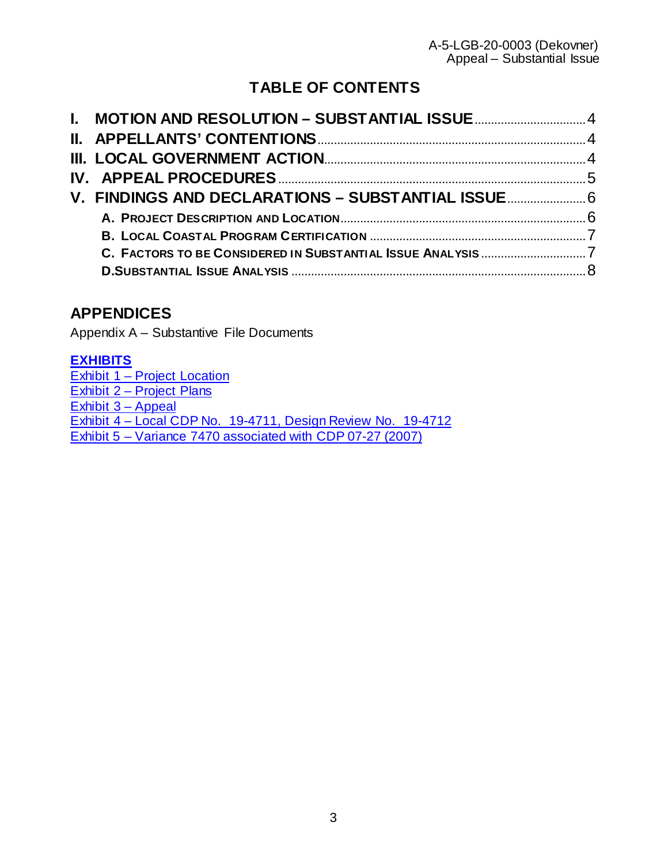# **TABLE OF CONTENTS**

# **APPENDICES**

Appendix A – Substantive File Documents

## **[EXHIBITS](https://documents.coastal.ca.gov/reports/2020/3/Th11d/Th11d-3-2020-exhibits.pdf)**

[Exhibit 1 – Project Location](https://documents.coastal.ca.gov/reports/2020/3/Th11d/Th11d-3-2020-exhibits.pdf) [Exhibit 2 – Project Plans](https://documents.coastal.ca.gov/reports/2020/3/Th11d/Th11d-3-2020-exhibits.pdf) [Exhibit 3 – Appeal](https://documents.coastal.ca.gov/reports/2020/3/Th11d/Th11d-3-2020-exhibits.pdf)  [Exhibit 4 – Local CDP No. 19-4711, Design Review No. 19-4712](https://documents.coastal.ca.gov/reports/2020/3/Th11d/Th11d-3-2020-exhibits.pdf) [Exhibit 5 – Variance 7470 associated with CDP 07-27 \(2007\)](https://documents.coastal.ca.gov/reports/2020/3/Th11d/Th11d-3-2020-exhibits.pdf)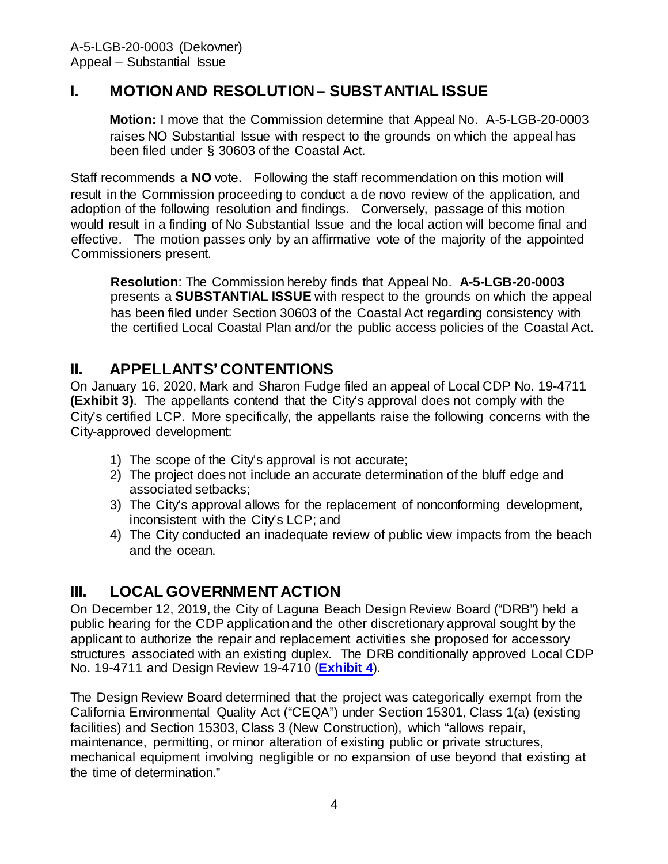## <span id="page-3-0"></span>**I. MOTION AND RESOLUTION – SUBSTANTIAL ISSUE**

**Motion:** I move that the Commission determine that Appeal No. A-5-LGB-20-0003 raises NO Substantial Issue with respect to the grounds on which the appeal has been filed under § 30603 of the Coastal Act.

Staff recommends a **NO** vote. Following the staff recommendation on this motion will result in the Commission proceeding to conduct a de novo review of the application, and adoption of the following resolution and findings. Conversely, passage of this motion would result in a finding of No Substantial Issue and the local action will become final and effective. The motion passes only by an affirmative vote of the majority of the appointed Commissioners present.

**Resolution**: The Commission hereby finds that Appeal No. **A-5-LGB-20-0003**  presents a **SUBSTANTIAL ISSUE** with respect to the grounds on which the appeal has been filed under Section 30603 of the Coastal Act regarding consistency with the certified Local Coastal Plan and/or the public access policies of the Coastal Act.

## <span id="page-3-1"></span>**II. APPELLANTS' CONTENTIONS**

On January 16, 2020, Mark and Sharon Fudge filed an appeal of Local CDP No. 19-4711 **[\(Exhibit 3\)](https://documents.coastal.ca.gov/reports/2017/8/w12a/w12a-8-2017-exhibits.pdf)**. The appellants contend that the City's approval does not comply with the City's certified LCP. More specifically, the appellants raise the following concerns with the City-approved development:

- 1) The scope of the City's approval is not accurate;
- 2) The project does not include an accurate determination of the bluff edge and associated setbacks;
- 3) The City's approval allows for the replacement of nonconforming development, inconsistent with the City's LCP; and
- 4) The City conducted an inadequate review of public view impacts from the beach and the ocean.

## <span id="page-3-2"></span>**III. LOCAL GOVERNMENT ACTION**

On December 12, 2019, the City of Laguna Beach Design Review Board ("DRB") held a public hearing for the CDP application and the other discretionary approval sought by the applicant to authorize the repair and replacement activities she proposed for accessory structures associated with an existing duplex. The DRB conditionally approved Local CDP No. 19-4711 and Design Review 19-4710 (**[Exhibit 4](https://documents.coastal.ca.gov/reports/2020/3/Th11d/Th11d-3-2020-exhibits.pdf)**).

The Design Review Board determined that the project was categorically exempt from the California Environmental Quality Act ("CEQA") under Section 15301, Class 1(a) (existing facilities) and Section 15303, Class 3 (New Construction), which "allows repair, maintenance, permitting, or minor alteration of existing public or private structures, mechanical equipment involving negligible or no expansion of use beyond that existing at the time of determination."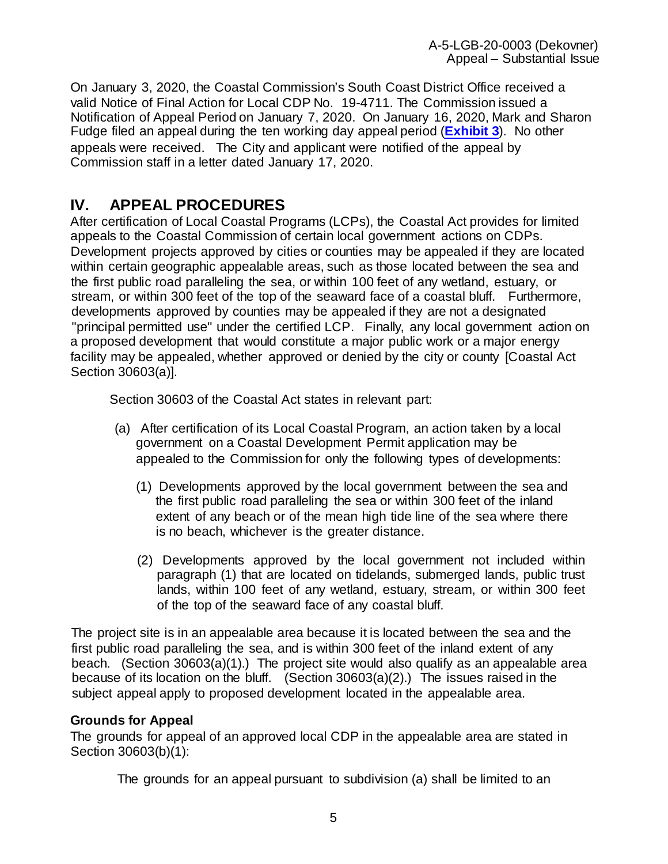On January 3, 2020, the Coastal Commission's South Coast District Office received a valid Notice of Final Action for Local CDP No. 19-4711. The Commission issued a Notification of Appeal Period on January 7, 2020. On January 16, 2020, Mark and Sharon Fudge filed an appeal during the ten working day appeal period (**[Exhibit 3](https://documents.coastal.ca.gov/reports/2020/3/Th11d/Th11d-3-2020-exhibits.pdf)**). No other appeals were received. The City and applicant were notified of the appeal by Commission staff in a letter dated January 17, 2020.

## <span id="page-4-0"></span>**IV. APPEAL PROCEDURES**

After certification of Local Coastal Programs (LCPs), the Coastal Act provides for limited appeals to the Coastal Commission of certain local government actions on CDPs. Development projects approved by cities or counties may be appealed if they are located within certain geographic appealable areas, such as those located between the sea and the first public road paralleling the sea, or within 100 feet of any wetland, estuary, or stream, or within 300 feet of the top of the seaward face of a coastal bluff. Furthermore, developments approved by counties may be appealed if they are not a designated "principal permitted use" under the certified LCP. Finally, any local government action on a proposed development that would constitute a major public work or a major energy facility may be appealed, whether approved or denied by the city or county [Coastal Act Section 30603(a)].

Section 30603 of the Coastal Act states in relevant part:

- (a) After certification of its Local Coastal Program, an action taken by a local government on a Coastal Development Permit application may be appealed to the Commission for only the following types of developments:
	- (1) Developments approved by the local government between the sea and the first public road paralleling the sea or within 300 feet of the inland extent of any beach or of the mean high tide line of the sea where there is no beach, whichever is the greater distance.
	- (2) Developments approved by the local government not included within paragraph (1) that are located on tidelands, submerged lands, public trust lands, within 100 feet of any wetland, estuary, stream, or within 300 feet of the top of the seaward face of any coastal bluff.

The project site is in an appealable area because it is located between the sea and the first public road paralleling the sea, and is within 300 feet of the inland extent of any beach. (Section 30603(a)(1).) The project site would also qualify as an appealable area because of its location on the bluff. (Section 30603(a)(2).) The issues raised in the subject appeal apply to proposed development located in the appealable area.

### **Grounds for Appeal**

The grounds for appeal of an approved local CDP in the appealable area are stated in Section 30603(b)(1):

The grounds for an appeal pursuant to subdivision (a) shall be limited to an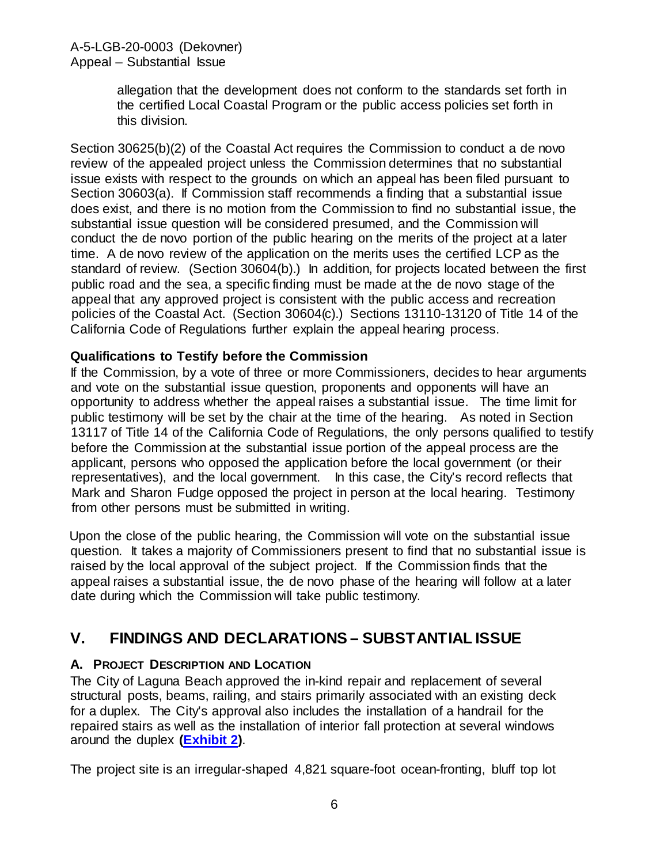allegation that the development does not conform to the standards set forth in the certified Local Coastal Program or the public access policies set forth in this division.

Section 30625(b)(2) of the Coastal Act requires the Commission to conduct a de novo review of the appealed project unless the Commission determines that no substantial issue exists with respect to the grounds on which an appeal has been filed pursuant to Section 30603(a). If Commission staff recommends a finding that a substantial issue does exist, and there is no motion from the Commission to find no substantial issue, the substantial issue question will be considered presumed, and the Commission will conduct the de novo portion of the public hearing on the merits of the project at a later time. A de novo review of the application on the merits uses the certified LCP as the standard of review. (Section 30604(b).) In addition, for projects located between the first public road and the sea, a specific finding must be made at the de novo stage of the appeal that any approved project is consistent with the public access and recreation policies of the Coastal Act. (Section 30604(c).) Sections 13110-13120 of Title 14 of the California Code of Regulations further explain the appeal hearing process.

### **Qualifications to Testify before the Commission**

If the Commission, by a vote of three or more Commissioners, decides to hear arguments and vote on the substantial issue question, proponents and opponents will have an opportunity to address whether the appeal raises a substantial issue. The time limit for public testimony will be set by the chair at the time of the hearing. As noted in Section 13117 of Title 14 of the California Code of Regulations, the only persons qualified to testify before the Commission at the substantial issue portion of the appeal process are the applicant, persons who opposed the application before the local government (or their representatives), and the local government. In this case, the City's record reflects that Mark and Sharon Fudge opposed the project in person at the local hearing. Testimony from other persons must be submitted in writing.

Upon the close of the public hearing, the Commission will vote on the substantial issue question. It takes a majority of Commissioners present to find that no substantial issue is raised by the local approval of the subject project. If the Commission finds that the appeal raises a substantial issue, the de novo phase of the hearing will follow at a later date during which the Commission will take public testimony.

## <span id="page-5-0"></span>**V. FINDINGS AND DECLARATIONS – SUBSTANTIAL ISSUE**

### <span id="page-5-1"></span>**A. PROJECT DESCRIPTION AND LOCATION**

The City of Laguna Beach approved the in-kind repair and replacement of several structural posts, beams, railing, and stairs primarily associated with an existing deck for a duplex. The City's approval also includes the installation of a handrail for the repaired stairs as well as the installation of interior fall protection at several windows around the duplex **[\(Exhibit 2\)](https://documents.coastal.ca.gov/reports/2020/3/Th11d/Th11d-3-2020-exhibits.pdf)**.

The project site is an irregular-shaped 4,821 square-foot ocean-fronting, bluff top lot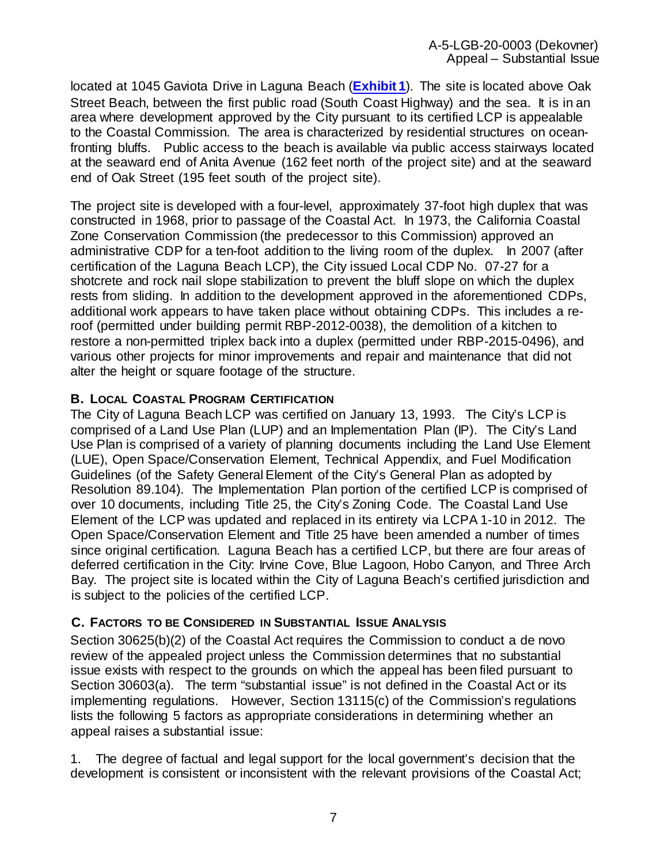located at 1045 Gaviota Drive in Laguna Beach (**[Exhibit 1](https://documents.coastal.ca.gov/reports/2020/3/Th11d/Th11d-3-2020-exhibits.pdf)**). The site is located above Oak Street Beach, between the first public road (South Coast Highway) and the sea. It is in an area where development approved by the City pursuant to its certified LCP is appealable to the Coastal Commission. The area is characterized by residential structures on oceanfronting bluffs. Public access to the beach is available via public access stairways located at the seaward end of Anita Avenue (162 feet north of the project site) and at the seaward end of Oak Street (195 feet south of the project site).

The project site is developed with a four-level, approximately 37-foot high duplex that was constructed in 1968, prior to passage of the Coastal Act. In 1973, the California Coastal Zone Conservation Commission (the predecessor to this Commission) approved an administrative CDP for a ten-foot addition to the living room of the duplex. In 2007 (after certification of the Laguna Beach LCP), the City issued Local CDP No. 07-27 for a shotcrete and rock nail slope stabilization to prevent the bluff slope on which the duplex rests from sliding. In addition to the development approved in the aforementioned CDPs, additional work appears to have taken place without obtaining CDPs. This includes a reroof (permitted under building permit RBP-2012-0038), the demolition of a kitchen to restore a non-permitted triplex back into a duplex (permitted under RBP-2015-0496), and various other projects for minor improvements and repair and maintenance that did not alter the height or square footage of the structure.

#### <span id="page-6-0"></span>**B. LOCAL COASTAL PROGRAM CERTIFICATION**

The City of Laguna Beach LCP was certified on January 13, 1993. The City's LCP is comprised of a Land Use Plan (LUP) and an Implementation Plan (IP). The City's Land Use Plan is comprised of a variety of planning documents including the Land Use Element (LUE), Open Space/Conservation Element, Technical Appendix, and Fuel Modification Guidelines (of the Safety General Element of the City's General Plan as adopted by Resolution 89.104). The Implementation Plan portion of the certified LCP is comprised of over 10 documents, including Title 25, the City's Zoning Code. The Coastal Land Use Element of the LCP was updated and replaced in its entirety via LCPA 1-10 in 2012. The Open Space/Conservation Element and Title 25 have been amended a number of times since original certification. Laguna Beach has a certified LCP, but there are four areas of deferred certification in the City: Irvine Cove, Blue Lagoon, Hobo Canyon, and Three Arch Bay. The project site is located within the City of Laguna Beach's certified jurisdiction and is subject to the policies of the certified LCP.

#### <span id="page-6-1"></span>**C. FACTORS TO BE CONSIDERED IN SUBSTANTIAL ISSUE ANALYSIS**

Section 30625(b)(2) of the Coastal Act requires the Commission to conduct a de novo review of the appealed project unless the Commission determines that no substantial issue exists with respect to the grounds on which the appeal has been filed pursuant to Section 30603(a). The term "substantial issue" is not defined in the Coastal Act or its implementing regulations. However, Section 13115(c) of the Commission's regulations lists the following 5 factors as appropriate considerations in determining whether an appeal raises a substantial issue:

1. The degree of factual and legal support for the local government's decision that the development is consistent or inconsistent with the relevant provisions of the Coastal Act;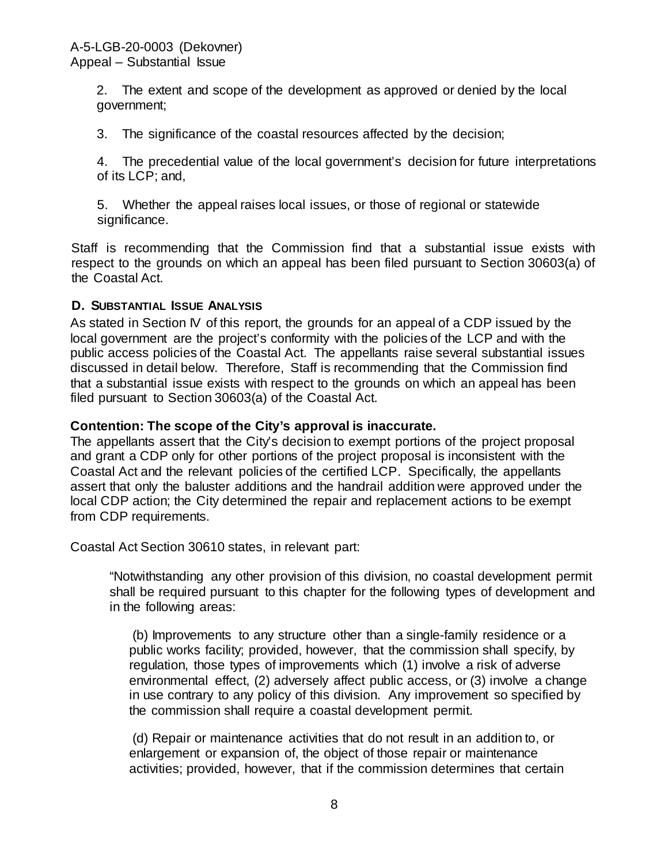2. The extent and scope of the development as approved or denied by the local government;

3. The significance of the coastal resources affected by the decision;

4. The precedential value of the local government's decision for future interpretations of its LCP; and,

5. Whether the appeal raises local issues, or those of regional or statewide significance.

Staff is recommending that the Commission find that a substantial issue exists with respect to the grounds on which an appeal has been filed pursuant to Section 30603(a) of the Coastal Act.

#### <span id="page-7-0"></span>**D. SUBSTANTIAL ISSUE ANALYSIS**

As stated in Section IV of this report, the grounds for an appeal of a CDP issued by the local government are the project's conformity with the policies of the LCP and with the public access policies of the Coastal Act. The appellants raise several substantial issues discussed in detail below. Therefore, Staff is recommending that the Commission find that a substantial issue exists with respect to the grounds on which an appeal has been filed pursuant to Section 30603(a) of the Coastal Act.

#### **Contention: The scope of the City's approval is inaccurate.**

The appellants assert that the City's decision to exempt portions of the project proposal and grant a CDP only for other portions of the project proposal is inconsistent with the Coastal Act and the relevant policies of the certified LCP. Specifically, the appellants assert that only the baluster additions and the handrail addition were approved under the local CDP action; the City determined the repair and replacement actions to be exempt from CDP requirements.

Coastal Act Section 30610 states, in relevant part:

"Notwithstanding any other provision of this division, no coastal development permit shall be required pursuant to this chapter for the following types of development and in the following areas:

(b) Improvements to any structure other than a single-family residence or a public works facility; provided, however, that the commission shall specify, by regulation, those types of improvements which (1) involve a risk of adverse environmental effect, (2) adversely affect public access, or (3) involve a change in use contrary to any policy of this division. Any improvement so specified by the commission shall require a coastal development permit.

(d) Repair or maintenance activities that do not result in an addition to, or enlargement or expansion of, the object of those repair or maintenance activities; provided, however, that if the commission determines that certain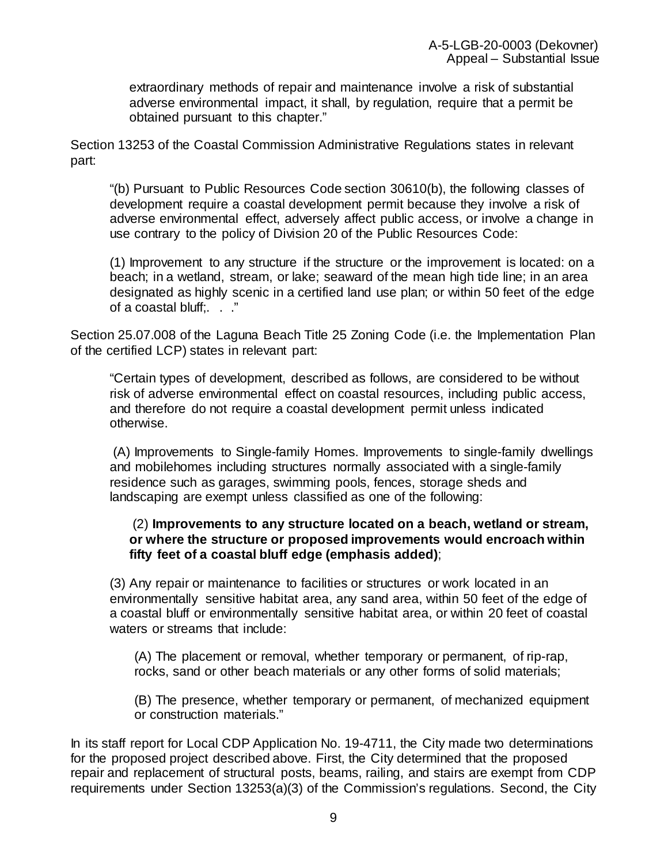extraordinary methods of repair and maintenance involve a risk of substantial adverse environmental impact, it shall, by regulation, require that a permit be obtained pursuant to this chapter."

Section 13253 of the Coastal Commission Administrative Regulations states in relevant part:

"(b) Pursuant to Public Resources Code section 30610(b), the following classes of development require a coastal development permit because they involve a risk of adverse environmental effect, adversely affect public access, or involve a change in use contrary to the policy of Division 20 of the Public Resources Code:

(1) Improvement to any structure if the structure or the improvement is located: on a beach; in a wetland, stream, or lake; seaward of the mean high tide line; in an area designated as highly scenic in a certified land use plan; or within 50 feet of the edge of a coastal bluff;. . ."

Section 25.07.008 of the Laguna Beach Title 25 Zoning Code (i.e. the Implementation Plan of the certified LCP) states in relevant part:

"Certain types of development, described as follows, are considered to be without risk of adverse environmental effect on coastal resources, including public access, and therefore do not require a coastal development permit unless indicated otherwise.

(A) Improvements to Single-family Homes. Improvements to single-family dwellings and mobilehomes including structures normally associated with a single-family residence such as garages, swimming pools, fences, storage sheds and landscaping are exempt unless classified as one of the following:

#### (2) **Improvements to any structure located on a beach, wetland or stream, or where the structure or proposed improvements would encroach within fifty feet of a coastal bluff edge (emphasis added)**;

(3) Any repair or maintenance to facilities or structures or work located in an environmentally sensitive habitat area, any sand area, within 50 feet of the edge of a coastal bluff or environmentally sensitive habitat area, or within 20 feet of coastal waters or streams that include:

(A) The placement or removal, whether temporary or permanent, of rip-rap, rocks, sand or other beach materials or any other forms of solid materials;

(B) The presence, whether temporary or permanent, of mechanized equipment or construction materials."

In its staff report for Local CDP Application No. 19-4711, the City made two determinations for the proposed project described above. First, the City determined that the proposed repair and replacement of structural posts, beams, railing, and stairs are exempt from CDP requirements under Section 13253(a)(3) of the Commission's regulations. Second, the City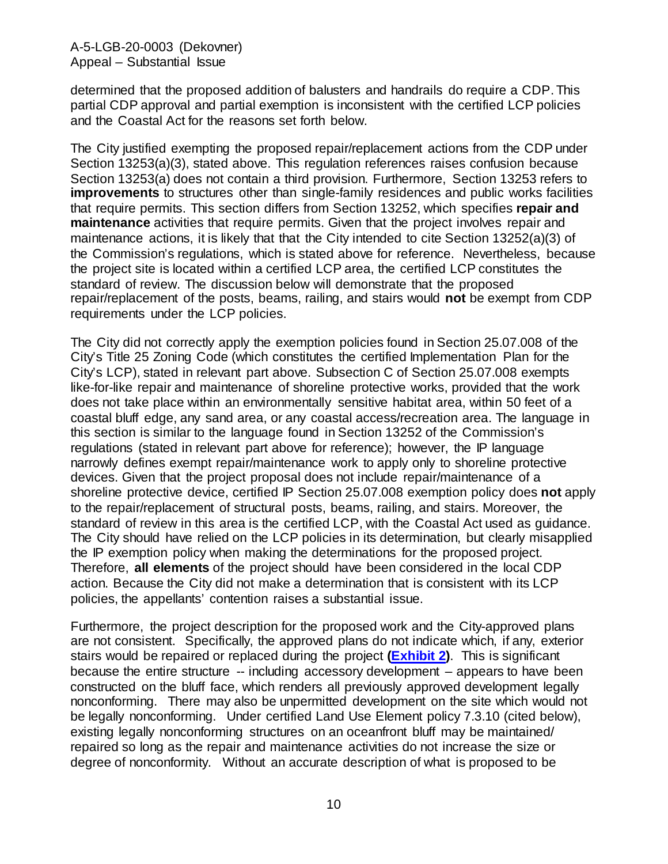determined that the proposed addition of balusters and handrails do require a CDP. This partial CDP approval and partial exemption is inconsistent with the certified LCP policies and the Coastal Act for the reasons set forth below.

The City justified exempting the proposed repair/replacement actions from the CDP under Section 13253(a)(3), stated above. This regulation references raises confusion because Section 13253(a) does not contain a third provision. Furthermore, Section 13253 refers to **improvements** to structures other than single-family residences and public works facilities that require permits. This section differs from Section 13252, which specifies **repair and maintenance** activities that require permits. Given that the project involves repair and maintenance actions, it is likely that that the City intended to cite Section 13252(a)(3) of the Commission's regulations, which is stated above for reference. Nevertheless, because the project site is located within a certified LCP area, the certified LCP constitutes the standard of review. The discussion below will demonstrate that the proposed repair/replacement of the posts, beams, railing, and stairs would **not** be exempt from CDP requirements under the LCP policies.

The City did not correctly apply the exemption policies found in Section 25.07.008 of the City's Title 25 Zoning Code (which constitutes the certified Implementation Plan for the City's LCP), stated in relevant part above. Subsection C of Section 25.07.008 exempts like-for-like repair and maintenance of shoreline protective works, provided that the work does not take place within an environmentally sensitive habitat area, within 50 feet of a coastal bluff edge, any sand area, or any coastal access/recreation area. The language in this section is similar to the language found in Section 13252 of the Commission's regulations (stated in relevant part above for reference); however, the IP language narrowly defines exempt repair/maintenance work to apply only to shoreline protective devices. Given that the project proposal does not include repair/maintenance of a shoreline protective device, certified IP Section 25.07.008 exemption policy does **not** apply to the repair/replacement of structural posts, beams, railing, and stairs. Moreover, the standard of review in this area is the certified LCP, with the Coastal Act used as guidance. The City should have relied on the LCP policies in its determination, but clearly misapplied the IP exemption policy when making the determinations for the proposed project. Therefore, **all elements** of the project should have been considered in the local CDP action. Because the City did not make a determination that is consistent with its LCP policies, the appellants' contention raises a substantial issue.

Furthermore, the project description for the proposed work and the City-approved plans are not consistent. Specifically, the approved plans do not indicate which, if any, exterior stairs would be repaired or replaced during the project **[\(Exhibit 2\)](https://documents.coastal.ca.gov/reports/2020/3/Th11d/Th11d-3-2020-exhibits.pdf)**. This is significant because the entire structure -- including accessory development – appears to have been constructed on the bluff face, which renders all previously approved development legally nonconforming. There may also be unpermitted development on the site which would not be legally nonconforming. Under certified Land Use Element policy 7.3.10 (cited below), existing legally nonconforming structures on an oceanfront bluff may be maintained/ repaired so long as the repair and maintenance activities do not increase the size or degree of nonconformity. Without an accurate description of what is proposed to be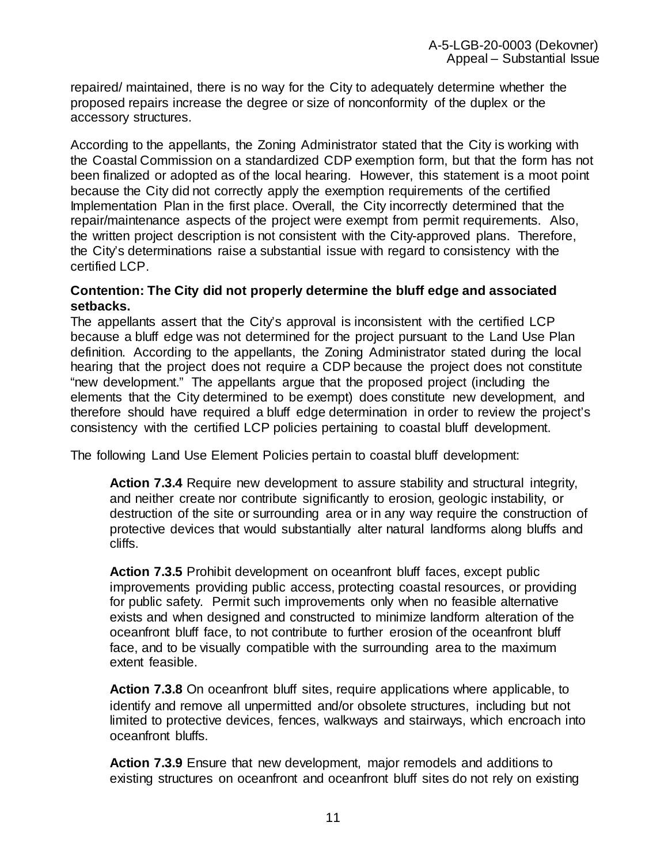repaired/ maintained, there is no way for the City to adequately determine whether the proposed repairs increase the degree or size of nonconformity of the duplex or the accessory structures.

According to the appellants, the Zoning Administrator stated that the City is working with the Coastal Commission on a standardized CDP exemption form, but that the form has not been finalized or adopted as of the local hearing. However, this statement is a moot point because the City did not correctly apply the exemption requirements of the certified Implementation Plan in the first place. Overall, the City incorrectly determined that the repair/maintenance aspects of the project were exempt from permit requirements. Also, the written project description is not consistent with the City-approved plans. Therefore, the City's determinations raise a substantial issue with regard to consistency with the certified LCP.

#### **Contention: The City did not properly determine the bluff edge and associated setbacks.**

The appellants assert that the City's approval is inconsistent with the certified LCP because a bluff edge was not determined for the project pursuant to the Land Use Plan definition. According to the appellants, the Zoning Administrator stated during the local hearing that the project does not require a CDP because the project does not constitute "new development." The appellants argue that the proposed project (including the elements that the City determined to be exempt) does constitute new development, and therefore should have required a bluff edge determination in order to review the project's consistency with the certified LCP policies pertaining to coastal bluff development.

The following Land Use Element Policies pertain to coastal bluff development:

**Action 7.3.4** Require new development to assure stability and structural integrity, and neither create nor contribute significantly to erosion, geologic instability, or destruction of the site or surrounding area or in any way require the construction of protective devices that would substantially alter natural landforms along bluffs and cliffs.

**Action 7.3.5** Prohibit development on oceanfront bluff faces, except public improvements providing public access, protecting coastal resources, or providing for public safety. Permit such improvements only when no feasible alternative exists and when designed and constructed to minimize landform alteration of the oceanfront bluff face, to not contribute to further erosion of the oceanfront bluff face, and to be visually compatible with the surrounding area to the maximum extent feasible.

**Action 7.3.8** On oceanfront bluff sites, require applications where applicable, to identify and remove all unpermitted and/or obsolete structures, including but not limited to protective devices, fences, walkways and stairways, which encroach into oceanfront bluffs.

**Action 7.3.9** Ensure that new development, major remodels and additions to existing structures on oceanfront and oceanfront bluff sites do not rely on existing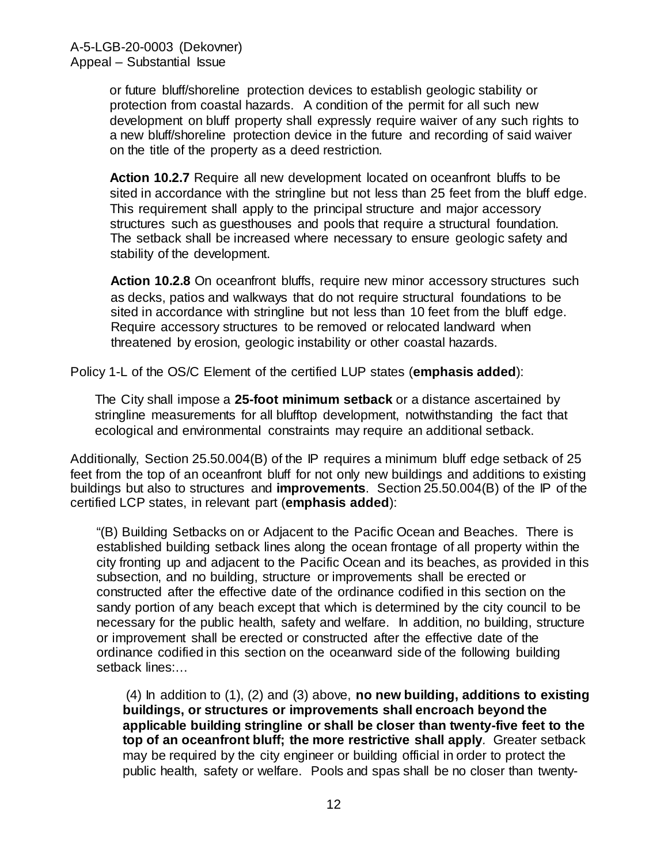or future bluff/shoreline protection devices to establish geologic stability or protection from coastal hazards. A condition of the permit for all such new development on bluff property shall expressly require waiver of any such rights to a new bluff/shoreline protection device in the future and recording of said waiver on the title of the property as a deed restriction.

**Action 10.2.7** Require all new development located on oceanfront bluffs to be sited in accordance with the stringline but not less than 25 feet from the bluff edge. This requirement shall apply to the principal structure and major accessory structures such as guesthouses and pools that require a structural foundation. The setback shall be increased where necessary to ensure geologic safety and stability of the development.

**Action 10.2.8** On oceanfront bluffs, require new minor accessory structures such as decks, patios and walkways that do not require structural foundations to be sited in accordance with stringline but not less than 10 feet from the bluff edge. Require accessory structures to be removed or relocated landward when threatened by erosion, geologic instability or other coastal hazards.

Policy 1-L of the OS/C Element of the certified LUP states (**emphasis added**):

The City shall impose a **25-foot minimum setback** or a distance ascertained by stringline measurements for all blufftop development, notwithstanding the fact that ecological and environmental constraints may require an additional setback.

Additionally, Section 25.50.004(B) of the IP requires a minimum bluff edge setback of 25 feet from the top of an oceanfront bluff for not only new buildings and additions to existing buildings but also to structures and **improvements**. Section 25.50.004(B) of the IP of the certified LCP states, in relevant part (**emphasis added**):

"(B) Building Setbacks on or Adjacent to the Pacific Ocean and Beaches. There is established building setback lines along the ocean frontage of all property within the city fronting up and adjacent to the Pacific Ocean and its beaches, as provided in this subsection, and no building, structure or improvements shall be erected or constructed after the effective date of the ordinance codified in this section on the sandy portion of any beach except that which is determined by the city council to be necessary for the public health, safety and welfare. In addition, no building, structure or improvement shall be erected or constructed after the effective date of the ordinance codified in this section on the oceanward side of the following building setback lines:…

(4) In addition to (1), (2) and (3) above, **no new building, additions to existing buildings, or structures or improvements shall encroach beyond the applicable building stringline or shall be closer than twenty-five feet to the top of an oceanfront bluff; the more restrictive shall apply***.* Greater setback may be required by the city engineer or building official in order to protect the public health, safety or welfare. Pools and spas shall be no closer than twenty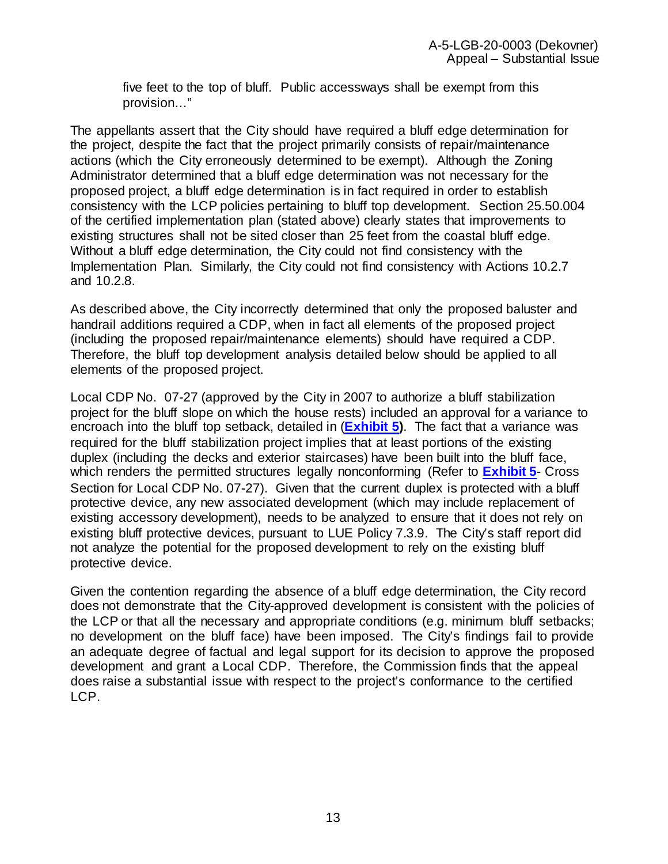five feet to the top of bluff. Public accessways shall be exempt from this provision…"

The appellants assert that the City should have required a bluff edge determination for the project, despite the fact that the project primarily consists of repair/maintenance actions (which the City erroneously determined to be exempt). Although the Zoning Administrator determined that a bluff edge determination was not necessary for the proposed project, a bluff edge determination is in fact required in order to establish consistency with the LCP policies pertaining to bluff top development. Section 25.50.004 of the certified implementation plan (stated above) clearly states that improvements to existing structures shall not be sited closer than 25 feet from the coastal bluff edge. Without a bluff edge determination, the City could not find consistency with the Implementation Plan. Similarly, the City could not find consistency with Actions 10.2.7 and 10.2.8.

As described above, the City incorrectly determined that only the proposed baluster and handrail additions required a CDP, when in fact all elements of the proposed project (including the proposed repair/maintenance elements) should have required a CDP. Therefore, the bluff top development analysis detailed below should be applied to all elements of the proposed project.

Local CDP No. 07-27 (approved by the City in 2007 to authorize a bluff stabilization project for the bluff slope on which the house rests) included an approval for a variance to encroach into the bluff top setback, detailed in (**[Exhibit 5\)](https://documents.coastal.ca.gov/reports/2020/3/Th11d/Th11d-3-2020-exhibits.pdf)**. The fact that a variance was required for the bluff stabilization project implies that at least portions of the existing duplex (including the decks and exterior staircases) have been built into the bluff face, which renders the permitted structures legally nonconforming (Refer to **[Exhibit 5](https://documents.coastal.ca.gov/reports/2020/3/Th11d/Th11d-3-2020-exhibits.pdf)**- Cross Section for Local CDP No. 07-27). Given that the current duplex is protected with a bluff protective device, any new associated development (which may include replacement of existing accessory development), needs to be analyzed to ensure that it does not rely on existing bluff protective devices, pursuant to LUE Policy 7.3.9. The City's staff report did not analyze the potential for the proposed development to rely on the existing bluff protective device.

Given the contention regarding the absence of a bluff edge determination, the City record does not demonstrate that the City-approved development is consistent with the policies of the LCP or that all the necessary and appropriate conditions (e.g. minimum bluff setbacks; no development on the bluff face) have been imposed. The City's findings fail to provide an adequate degree of factual and legal support for its decision to approve the proposed development and grant a Local CDP. Therefore, the Commission finds that the appeal does raise a substantial issue with respect to the project's conformance to the certified LCP.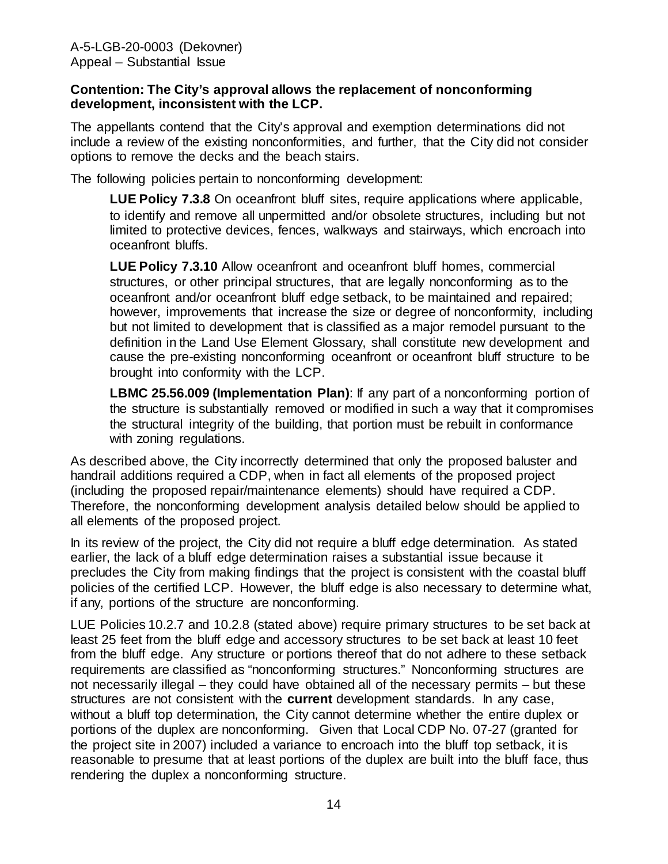#### **Contention: The City's approval allows the replacement of nonconforming development, inconsistent with the LCP.**

The appellants contend that the City's approval and exemption determinations did not include a review of the existing nonconformities, and further, that the City did not consider options to remove the decks and the beach stairs.

The following policies pertain to nonconforming development:

**LUE Policy 7.3.8** On oceanfront bluff sites, require applications where applicable, to identify and remove all unpermitted and/or obsolete structures, including but not limited to protective devices, fences, walkways and stairways, which encroach into oceanfront bluffs.

**LUE Policy 7.3.10** Allow oceanfront and oceanfront bluff homes, commercial structures, or other principal structures, that are legally nonconforming as to the oceanfront and/or oceanfront bluff edge setback, to be maintained and repaired; however, improvements that increase the size or degree of nonconformity, including but not limited to development that is classified as a major remodel pursuant to the definition in the Land Use Element Glossary, shall constitute new development and cause the pre-existing nonconforming oceanfront or oceanfront bluff structure to be brought into conformity with the LCP.

LBMC 25.56.009 (Implementation Plan): If any part of a nonconforming portion of the structure is substantially removed or modified in such a way that it compromises the structural integrity of the building, that portion must be rebuilt in conformance with zoning regulations.

As described above, the City incorrectly determined that only the proposed baluster and handrail additions required a CDP, when in fact all elements of the proposed project (including the proposed repair/maintenance elements) should have required a CDP. Therefore, the nonconforming development analysis detailed below should be applied to all elements of the proposed project.

In its review of the project, the City did not require a bluff edge determination. As stated earlier, the lack of a bluff edge determination raises a substantial issue because it precludes the City from making findings that the project is consistent with the coastal bluff policies of the certified LCP. However, the bluff edge is also necessary to determine what, if any, portions of the structure are nonconforming.

LUE Policies 10.2.7 and 10.2.8 (stated above) require primary structures to be set back at least 25 feet from the bluff edge and accessory structures to be set back at least 10 feet from the bluff edge. Any structure or portions thereof that do not adhere to these setback requirements are classified as "nonconforming structures." Nonconforming structures are not necessarily illegal – they could have obtained all of the necessary permits – but these structures are not consistent with the **current** development standards. In any case, without a bluff top determination, the City cannot determine whether the entire duplex or portions of the duplex are nonconforming. Given that Local CDP No. 07-27 (granted for the project site in 2007) included a variance to encroach into the bluff top setback, it is reasonable to presume that at least portions of the duplex are built into the bluff face, thus rendering the duplex a nonconforming structure.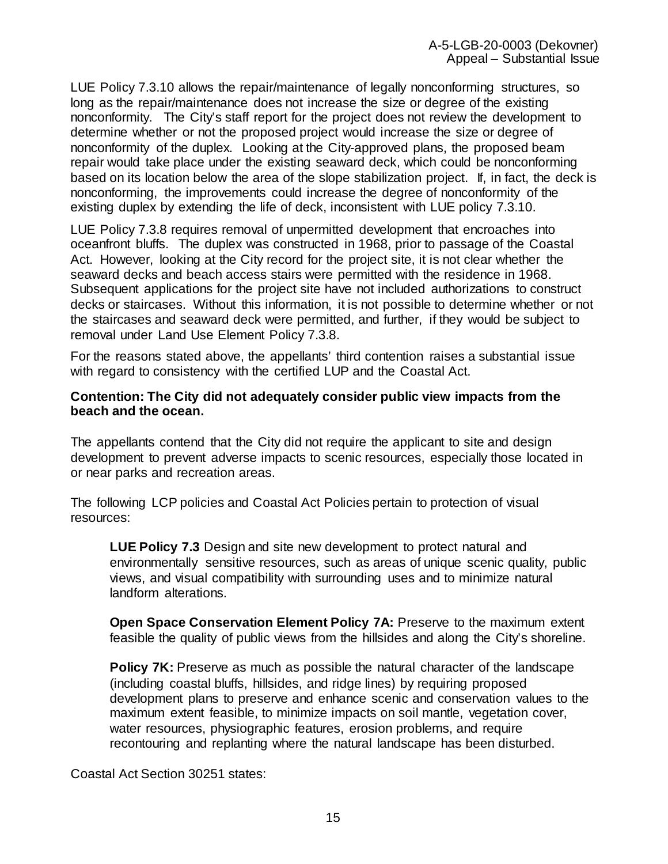LUE Policy 7.3.10 allows the repair/maintenance of legally nonconforming structures, so long as the repair/maintenance does not increase the size or degree of the existing nonconformity. The City's staff report for the project does not review the development to determine whether or not the proposed project would increase the size or degree of nonconformity of the duplex. Looking at the City-approved plans, the proposed beam repair would take place under the existing seaward deck, which could be nonconforming based on its location below the area of the slope stabilization project. If, in fact, the deck is nonconforming, the improvements could increase the degree of nonconformity of the existing duplex by extending the life of deck, inconsistent with LUE policy 7.3.10.

LUE Policy 7.3.8 requires removal of unpermitted development that encroaches into oceanfront bluffs. The duplex was constructed in 1968, prior to passage of the Coastal Act. However, looking at the City record for the project site, it is not clear whether the seaward decks and beach access stairs were permitted with the residence in 1968. Subsequent applications for the project site have not included authorizations to construct decks or staircases. Without this information, it is not possible to determine whether or not the staircases and seaward deck were permitted, and further, if they would be subject to removal under Land Use Element Policy 7.3.8.

For the reasons stated above, the appellants' third contention raises a substantial issue with regard to consistency with the certified LUP and the Coastal Act.

#### **Contention: The City did not adequately consider public view impacts from the beach and the ocean.**

The appellants contend that the City did not require the applicant to site and design development to prevent adverse impacts to scenic resources, especially those located in or near parks and recreation areas.

The following LCP policies and Coastal Act Policies pertain to protection of visual resources:

**LUE Policy 7.3** Design and site new development to protect natural and environmentally sensitive resources, such as areas of unique scenic quality, public views, and visual compatibility with surrounding uses and to minimize natural landform alterations.

**Open Space Conservation Element Policy 7A: Preserve to the maximum extent** feasible the quality of public views from the hillsides and along the City's shoreline.

**Policy 7K:** Preserve as much as possible the natural character of the landscape (including coastal bluffs, hillsides, and ridge lines) by requiring proposed development plans to preserve and enhance scenic and conservation values to the maximum extent feasible, to minimize impacts on soil mantle, vegetation cover, water resources, physiographic features, erosion problems, and require recontouring and replanting where the natural landscape has been disturbed.

Coastal Act Section 30251 states: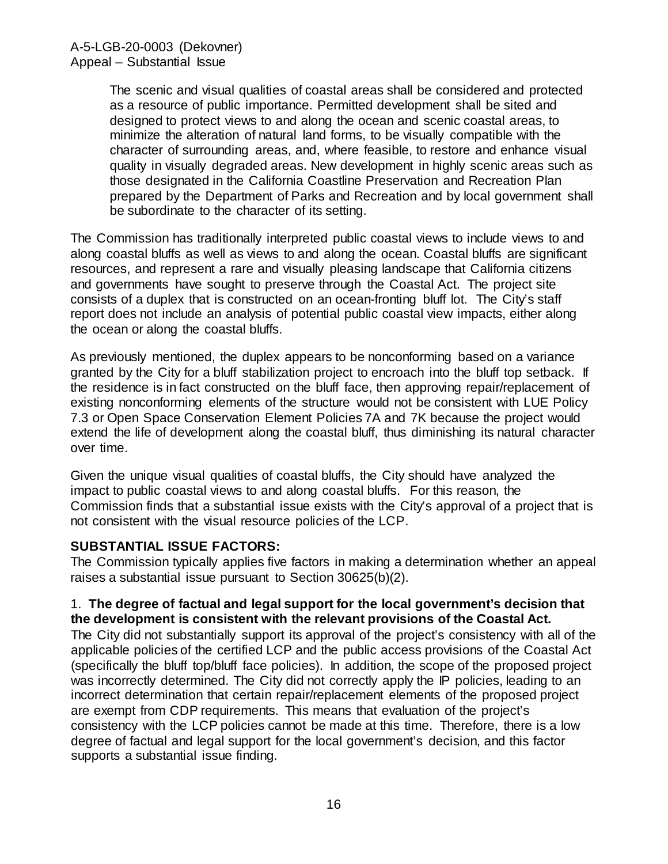The scenic and visual qualities of coastal areas shall be considered and protected as a resource of public importance. Permitted development shall be sited and designed to protect views to and along the ocean and scenic coastal areas, to minimize the alteration of natural land forms, to be visually compatible with the character of surrounding areas, and, where feasible, to restore and enhance visual quality in visually degraded areas. New development in highly scenic areas such as those designated in the California Coastline Preservation and Recreation Plan prepared by the Department of Parks and Recreation and by local government shall be subordinate to the character of its setting.

The Commission has traditionally interpreted public coastal views to include views to and along coastal bluffs as well as views to and along the ocean. Coastal bluffs are significant resources, and represent a rare and visually pleasing landscape that California citizens and governments have sought to preserve through the Coastal Act. The project site consists of a duplex that is constructed on an ocean-fronting bluff lot. The City's staff report does not include an analysis of potential public coastal view impacts, either along the ocean or along the coastal bluffs.

As previously mentioned, the duplex appears to be nonconforming based on a variance granted by the City for a bluff stabilization project to encroach into the bluff top setback. If the residence is in fact constructed on the bluff face, then approving repair/replacement of existing nonconforming elements of the structure would not be consistent with LUE Policy 7.3 or Open Space Conservation Element Policies 7A and 7K because the project would extend the life of development along the coastal bluff, thus diminishing its natural character over time.

Given the unique visual qualities of coastal bluffs, the City should have analyzed the impact to public coastal views to and along coastal bluffs. For this reason, the Commission finds that a substantial issue exists with the City's approval of a project that is not consistent with the visual resource policies of the LCP.

### **SUBSTANTIAL ISSUE FACTORS:**

The Commission typically applies five factors in making a determination whether an appeal raises a substantial issue pursuant to Section 30625(b)(2).

#### 1. **The degree of factual and legal support for the local government's decision that the development is consistent with the relevant provisions of the Coastal Act.**

The City did not substantially support its approval of the project's consistency with all of the applicable policies of the certified LCP and the public access provisions of the Coastal Act (specifically the bluff top/bluff face policies). In addition, the scope of the proposed project was incorrectly determined. The City did not correctly apply the IP policies, leading to an incorrect determination that certain repair/replacement elements of the proposed project are exempt from CDP requirements. This means that evaluation of the project's consistency with the LCP policies cannot be made at this time. Therefore, there is a low degree of factual and legal support for the local government's decision, and this factor supports a substantial issue finding.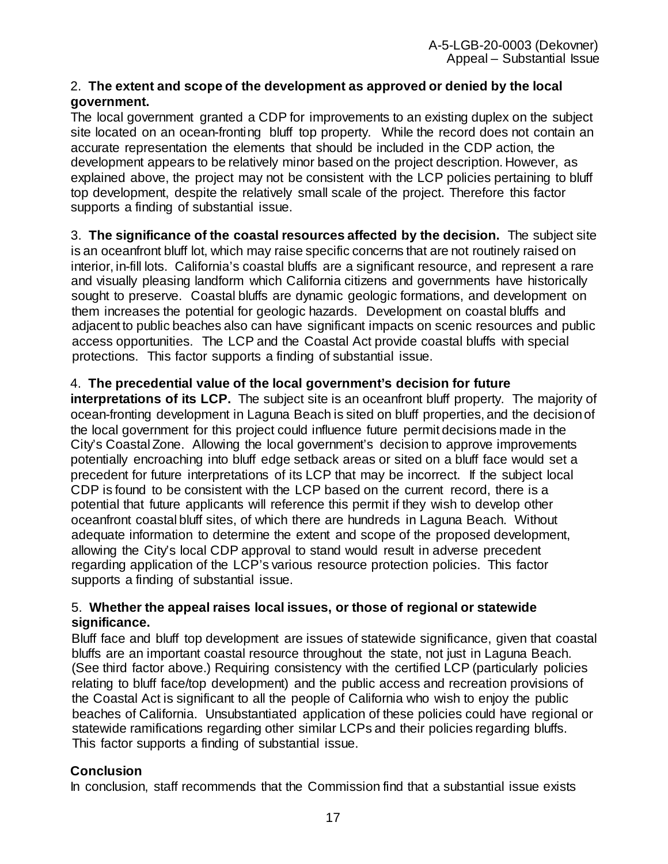### 2. **The extent and scope of the development as approved or denied by the local government.**

The local government granted a CDP for improvements to an existing duplex on the subject site located on an ocean-fronting bluff top property. While the record does not contain an accurate representation the elements that should be included in the CDP action, the development appears to be relatively minor based on the project description. However, as explained above, the project may not be consistent with the LCP policies pertaining to bluff top development, despite the relatively small scale of the project. Therefore this factor supports a finding of substantial issue.

3. **The significance of the coastal resources affected by the decision.** The subject site is an oceanfront bluff lot, which may raise specific concerns that are not routinely raised on interior, in-fill lots. California's coastal bluffs are a significant resource, and represent a rare and visually pleasing landform which California citizens and governments have historically sought to preserve. Coastal bluffs are dynamic geologic formations, and development on them increases the potential for geologic hazards. Development on coastal bluffs and adjacent to public beaches also can have significant impacts on scenic resources and public access opportunities. The LCP and the Coastal Act provide coastal bluffs with special protections. This factor supports a finding of substantial issue.

### 4. **The precedential value of the local government's decision for future**

**interpretations of its LCP.** The subject site is an oceanfront bluff property. The majority of ocean-fronting development in Laguna Beach is sited on bluff properties, and the decision of the local government for this project could influence future permit decisions made in the City's Coastal Zone. Allowing the local government's decision to approve improvements potentially encroaching into bluff edge setback areas or sited on a bluff face would set a precedent for future interpretations of its LCP that may be incorrect. If the subject local CDP is found to be consistent with the LCP based on the current record, there is a potential that future applicants will reference this permit if they wish to develop other oceanfront coastal bluff sites, of which there are hundreds in Laguna Beach. Without adequate information to determine the extent and scope of the proposed development, allowing the City's local CDP approval to stand would result in adverse precedent regarding application of the LCP's various resource protection policies. This factor supports a finding of substantial issue.

#### 5. **Whether the appeal raises local issues, or those of regional or statewide significance.**

Bluff face and bluff top development are issues of statewide significance, given that coastal bluffs are an important coastal resource throughout the state, not just in Laguna Beach. (See third factor above.) Requiring consistency with the certified LCP (particularly policies relating to bluff face/top development) and the public access and recreation provisions of the Coastal Act is significant to all the people of California who wish to enjoy the public beaches of California. Unsubstantiated application of these policies could have regional or statewide ramifications regarding other similar LCPs and their policies regarding bluffs. This factor supports a finding of substantial issue.

## **Conclusion**

In conclusion, staff recommends that the Commission find that a substantial issue exists